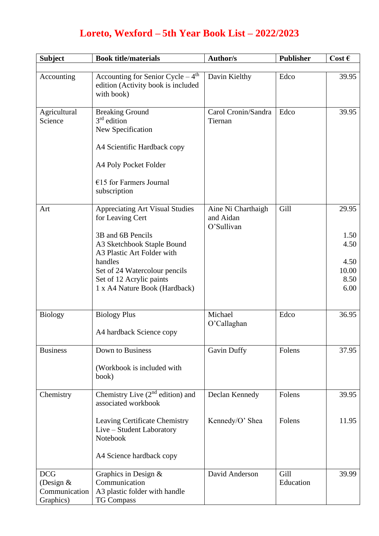## **Loreto, Wexford – 5th Year Book List – 2022/2023**

| <b>Subject</b>               | <b>Book title/materials</b>                                                                        | <b>Author/s</b>                               | <b>Publisher</b> | Cost $\epsilon$ |
|------------------------------|----------------------------------------------------------------------------------------------------|-----------------------------------------------|------------------|-----------------|
|                              |                                                                                                    |                                               |                  |                 |
| Accounting                   | Accounting for Senior Cycle $-4$ <sup>th</sup><br>edition (Activity book is included<br>with book) | Davin Kielthy                                 | Edco             | 39.95           |
| Agricultural                 | <b>Breaking Ground</b>                                                                             | Carol Cronin/Sandra                           | Edco             | 39.95           |
| Science                      | $3rd$ edition<br>New Specification                                                                 | Tiernan                                       |                  |                 |
|                              |                                                                                                    |                                               |                  |                 |
|                              | A4 Scientific Hardback copy                                                                        |                                               |                  |                 |
|                              | A4 Poly Pocket Folder                                                                              |                                               |                  |                 |
|                              | $€15$ for Farmers Journal                                                                          |                                               |                  |                 |
|                              | subscription                                                                                       |                                               |                  |                 |
| Art                          | <b>Appreciating Art Visual Studies</b><br>for Leaving Cert                                         | Aine Ni Charthaigh<br>and Aidan<br>O'Sullivan | Gill             | 29.95           |
|                              | 3B and 6B Pencils                                                                                  |                                               |                  | 1.50            |
|                              | A3 Sketchbook Staple Bound<br>A3 Plastic Art Folder with                                           |                                               |                  | 4.50            |
|                              | handles                                                                                            |                                               |                  | 4.50            |
|                              | Set of 24 Watercolour pencils                                                                      |                                               |                  | 10.00           |
|                              | Set of 12 Acrylic paints<br>1 x A4 Nature Book (Hardback)                                          |                                               |                  | 8.50<br>6.00    |
|                              |                                                                                                    |                                               |                  |                 |
| <b>Biology</b>               | <b>Biology Plus</b>                                                                                | Michael                                       | Edco             | 36.95           |
|                              |                                                                                                    | O'Callaghan                                   |                  |                 |
|                              | A4 hardback Science copy                                                                           |                                               |                  |                 |
| <b>Business</b>              | Down to Business                                                                                   | <b>Gavin Duffy</b>                            | Folens           | 37.95           |
|                              | (Workbook is included with<br>book)                                                                |                                               |                  |                 |
| Chemistry                    | Chemistry Live $(2^{nd}$ edition) and<br>associated workbook                                       | Declan Kennedy                                | Folens           | 39.95           |
|                              | <b>Leaving Certificate Chemistry</b><br>Live – Student Laboratory                                  | Kennedy/O' Shea                               | Folens           | 11.95           |
|                              | Notebook                                                                                           |                                               |                  |                 |
|                              | A4 Science hardback copy                                                                           |                                               |                  |                 |
| <b>DCG</b>                   | Graphics in Design &                                                                               | David Anderson                                | Gill             | 39.99           |
| (Design $&$<br>Communication | Communication<br>A3 plastic folder with handle                                                     |                                               | Education        |                 |
| Graphics)                    | <b>TG Compass</b>                                                                                  |                                               |                  |                 |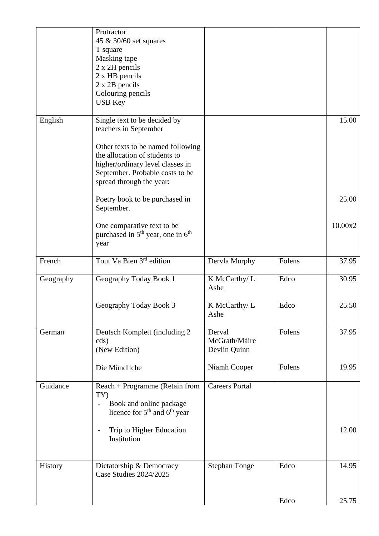|           | Protractor<br>45 & 30/60 set squares<br>T square<br>Masking tape<br>2 x 2H pencils<br>2 x HB pencils<br>2 x 2B pencils<br>Colouring pencils<br><b>USB Key</b>                                                                  |                                         |        |         |
|-----------|--------------------------------------------------------------------------------------------------------------------------------------------------------------------------------------------------------------------------------|-----------------------------------------|--------|---------|
| English   | Single text to be decided by<br>teachers in September<br>Other texts to be named following<br>the allocation of students to<br>higher/ordinary level classes in<br>September. Probable costs to be<br>spread through the year: |                                         |        | 15.00   |
|           | Poetry book to be purchased in<br>September.                                                                                                                                                                                   |                                         |        | 25.00   |
|           | One comparative text to be<br>purchased in 5 <sup>th</sup> year, one in 6 <sup>th</sup><br>year                                                                                                                                |                                         |        | 10.00x2 |
| French    | Tout Va Bien 3 <sup>rd</sup> edition                                                                                                                                                                                           | Dervla Murphy                           | Folens | 37.95   |
| Geography | Geography Today Book 1                                                                                                                                                                                                         | K McCarthy/L<br>Ashe                    | Edco   | 30.95   |
|           | Geography Today Book 3                                                                                                                                                                                                         | K McCarthy/L<br>Ashe                    | Edco   | 25.50   |
| German    | Deutsch Komplett (including 2<br>cds)<br>(New Edition)                                                                                                                                                                         | Derval<br>McGrath/Máire<br>Devlin Quinn | Folens | 37.95   |
|           | Die Mündliche                                                                                                                                                                                                                  | Niamh Cooper                            | Folens | 19.95   |
| Guidance  | Reach + Programme (Retain from<br>TY)<br>Book and online package<br>$\frac{1}{2}$<br>licence for 5 <sup>th</sup> and 6 <sup>th</sup> year                                                                                      | <b>Careers Portal</b>                   |        |         |
|           | Trip to Higher Education<br>Institution                                                                                                                                                                                        |                                         |        | 12.00   |
| History   | Dictatorship & Democracy<br>Case Studies 2024/2025                                                                                                                                                                             | <b>Stephan Tonge</b>                    | Edco   | 14.95   |
|           |                                                                                                                                                                                                                                |                                         | Edco   | 25.75   |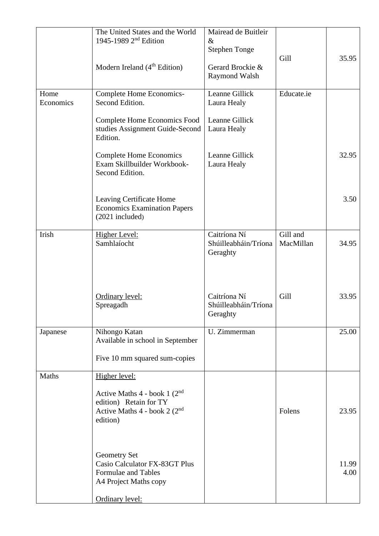|                   | The United States and the World<br>1945-1989 2 <sup>nd</sup> Edition                                                | Mairead de Buitleir<br>$\&$<br><b>Stephen Tonge</b> | Gill                  | 35.95         |
|-------------------|---------------------------------------------------------------------------------------------------------------------|-----------------------------------------------------|-----------------------|---------------|
|                   | Modern Ireland $(4th Edition)$                                                                                      | Gerard Brockie &<br>Raymond Walsh                   |                       |               |
| Home<br>Economics | Complete Home Economics-<br>Second Edition.                                                                         | Leanne Gillick<br>Laura Healy                       | Educate.ie            |               |
|                   | <b>Complete Home Economics Food</b><br>studies Assignment Guide-Second<br>Edition.                                  | Leanne Gillick<br>Laura Healy                       |                       |               |
|                   | <b>Complete Home Economics</b><br>Exam Skillbuilder Workbook-<br>Second Edition.                                    | Leanne Gillick<br>Laura Healy                       |                       | 32.95         |
|                   | Leaving Certificate Home<br><b>Economics Examination Papers</b><br>$(2021$ included)                                |                                                     |                       | 3.50          |
| Irish             | <b>Higher Level:</b><br>Samhlaíocht                                                                                 | Caitríona Ní<br>Shúilleabháin/Tríona<br>Geraghty    | Gill and<br>MacMillan | 34.95         |
|                   | Ordinary level:<br>Spreagadh                                                                                        | Caitríona Ní<br>Shúilleabháin/Tríona<br>Geraghty    | Gill                  | 33.95         |
| Japanese          | Nihongo Katan<br>Available in school in September                                                                   | U. Zimmerman                                        |                       | 25.00         |
|                   | Five 10 mm squared sum-copies                                                                                       |                                                     |                       |               |
| <b>Maths</b>      | Higher level:                                                                                                       |                                                     |                       |               |
|                   | Active Maths $4$ - book 1 ( $2nd$<br>edition) Retain for TY<br>Active Maths 4 - book 2 (2 <sup>nd</sup><br>edition) |                                                     | Folens                | 23.95         |
|                   | Geometry Set<br>Casio Calculator FX-83GT Plus<br>Formulae and Tables<br>A4 Project Maths copy                       |                                                     |                       | 11.99<br>4.00 |
|                   | Ordinary level:                                                                                                     |                                                     |                       |               |